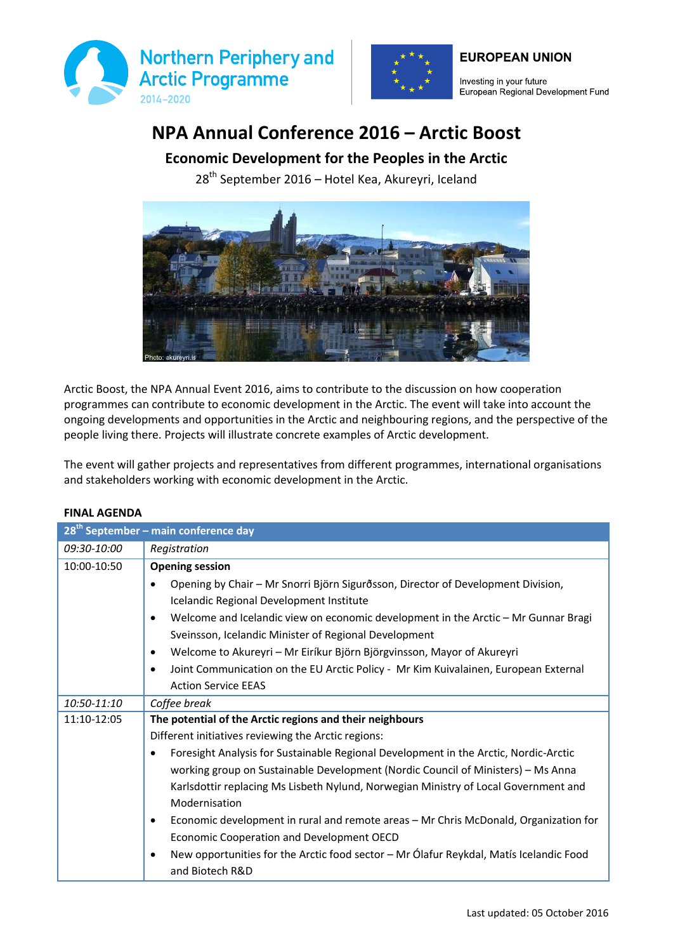



Investing in your future European Regional Development Fund

**EUROPEAN UNION** 

## **NPA Annual Conference 2016 – Arctic Boost**

## **Economic Development for the Peoples in the Arctic**

28<sup>th</sup> September 2016 – Hotel Kea, Akureyri, Iceland



Arctic Boost, the NPA Annual Event 2016, aims to contribute to the discussion on how cooperation programmes can contribute to economic development in the Arctic. The event will take into account the ongoing developments and opportunities in the Arctic and neighbouring regions, and the perspective of the people living there. Projects will illustrate concrete examples of Arctic development.

The event will gather projects and representatives from different programmes, international organisations and stakeholders working with economic development in the Arctic.

|             | 28 <sup>th</sup> September - main conference day                                                 |  |  |
|-------------|--------------------------------------------------------------------------------------------------|--|--|
| 09:30-10:00 | Registration                                                                                     |  |  |
| 10:00-10:50 | <b>Opening session</b>                                                                           |  |  |
|             | Opening by Chair - Mr Snorri Björn Sigurðsson, Director of Development Division,                 |  |  |
|             | Icelandic Regional Development Institute                                                         |  |  |
|             | Welcome and Icelandic view on economic development in the Arctic - Mr Gunnar Bragi<br>$\bullet$  |  |  |
|             | Sveinsson, Icelandic Minister of Regional Development                                            |  |  |
|             | Welcome to Akureyri - Mr Eiríkur Björn Björgvinsson, Mayor of Akureyri                           |  |  |
|             | Joint Communication on the EU Arctic Policy - Mr Kim Kuivalainen, European External<br>$\bullet$ |  |  |
|             | <b>Action Service EEAS</b>                                                                       |  |  |
| 10:50-11:10 | Coffee break                                                                                     |  |  |
| 11:10-12:05 | The potential of the Arctic regions and their neighbours                                         |  |  |
|             | Different initiatives reviewing the Arctic regions:                                              |  |  |
|             | Foresight Analysis for Sustainable Regional Development in the Arctic, Nordic-Arctic             |  |  |
|             | working group on Sustainable Development (Nordic Council of Ministers) - Ms Anna                 |  |  |
|             | Karlsdottir replacing Ms Lisbeth Nylund, Norwegian Ministry of Local Government and              |  |  |
|             | Modernisation                                                                                    |  |  |
|             | Economic development in rural and remote areas - Mr Chris McDonald, Organization for<br>٠        |  |  |
|             | Economic Cooperation and Development OECD                                                        |  |  |
|             | New opportunities for the Arctic food sector - Mr Ólafur Reykdal, Matís Icelandic Food           |  |  |
|             | and Biotech R&D                                                                                  |  |  |

## **FINAL AGENDA**